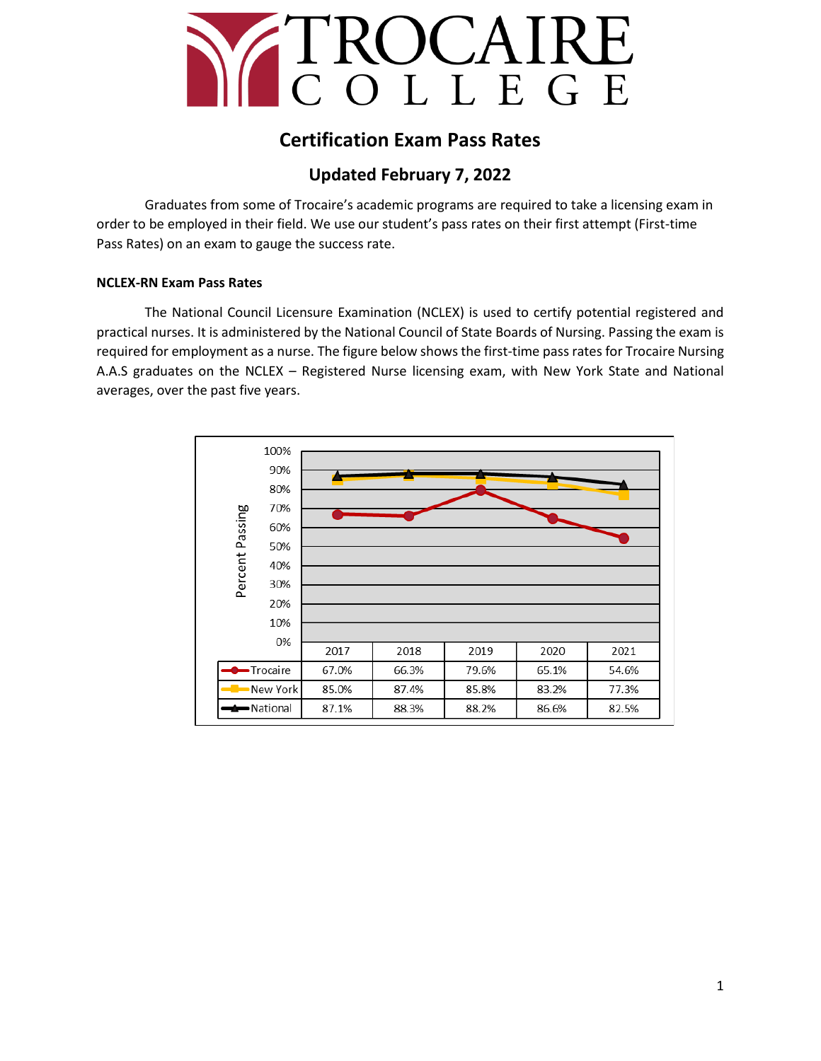

# **Certification Exam Pass Rates**

## **Updated February 7, 2022**

Graduates from some of Trocaire's academic programs are required to take a licensing exam in order to be employed in their field. We use our student's pass rates on their first attempt (First-time Pass Rates) on an exam to gauge the success rate.

### **NCLEX-RN Exam Pass Rates**

The National Council Licensure Examination (NCLEX) is used to certify potential registered and practical nurses. It is administered by the National Council of State Boards of Nursing. Passing the exam is required for employment as a nurse. The figure below shows the first-time pass rates for Trocaire Nursing A.A.S graduates on the NCLEX – Registered Nurse licensing exam, with New York State and National averages, over the past five years.

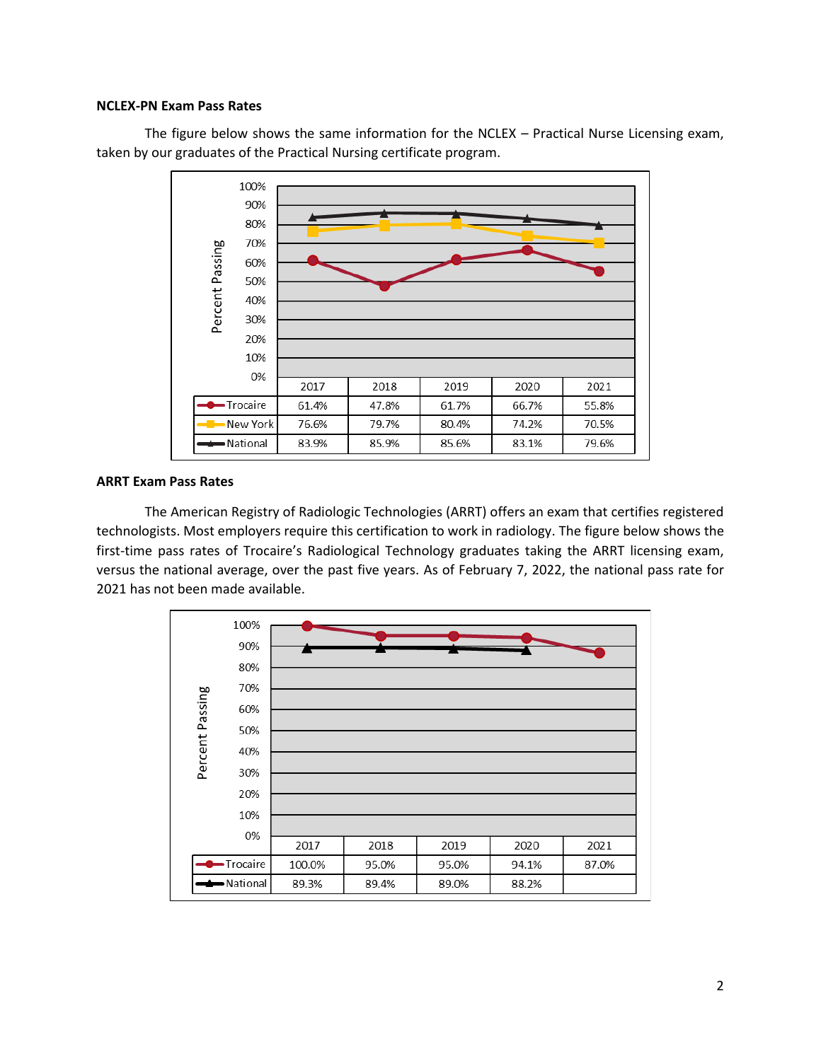#### **NCLEX-PN Exam Pass Rates**

The figure below shows the same information for the NCLEX – Practical Nurse Licensing exam, taken by our graduates of the Practical Nursing certificate program.



#### **ARRT Exam Pass Rates**

The American Registry of Radiologic Technologies (ARRT) offers an exam that certifies registered technologists. Most employers require this certification to work in radiology. The figure below shows the first-time pass rates of Trocaire's Radiological Technology graduates taking the ARRT licensing exam, versus the national average, over the past five years. As of February 7, 2022, the national pass rate for 2021 has not been made available.